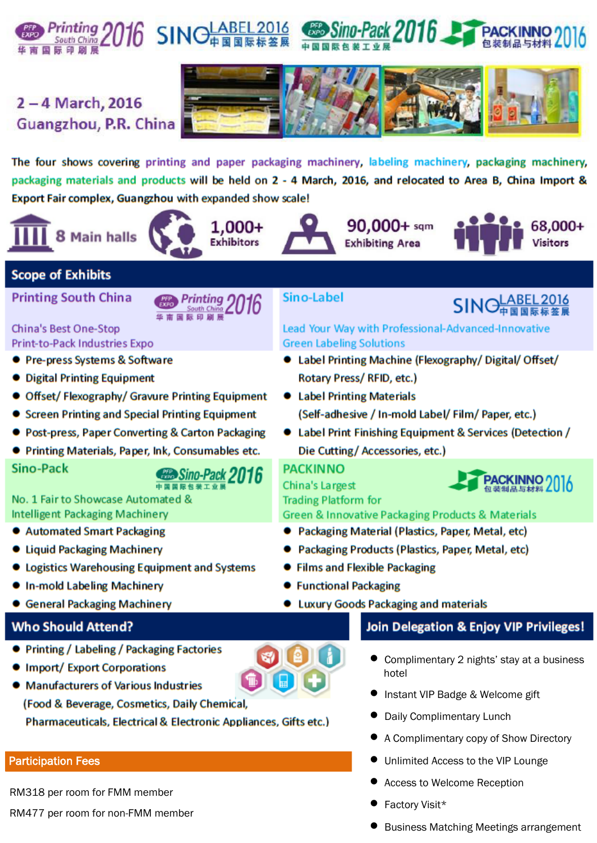

## $2 - 4$  March, 2016 Guangzhou, P.R. China



The four shows covering printing and paper packaging machinery, labeling machinery, packaging machinery, packaging materials and products will be held on 2 - 4 March, 2016, and relocated to Area B, China Import & Export Fair complex, Guangzhou with expanded show scale!













## **Scope of Exhibits**

**Printing South China** 

### **China's Best One-Stop Print-to-Pack Industries Expo**

- Pre-press Systems & Software
- Digital Printing Equipment
- Offset/Flexography/ Gravure Printing Equipment
- Screen Printing and Special Printing Equipment
- Post-press, Paper Converting & Carton Packaging
- Printing Materials, Paper, Ink, Consumables etc.

#### Sino-Pack

# Sino-Pack 21

rinting ()

### No. 1 Fair to Showcase Automated & **Intelligent Packaging Machinery**

- Automated Smart Packaging
- **Liquid Packaging Machinery**
- Logistics Warehousing Equipment and Systems
- **.** In-mold Labeling Machinery
- **General Packaging Machinery**

## **Who Should Attend?**

- Printing / Labeling / Packaging Factories
- **Import/Export Corporations**
- Manufacturers of Various Industries
- (Food & Beverage, Cosmetics, Daily Chemical,

Pharmaceuticals, Electrical & Electronic Appliances, Gifts etc.)

## **Participation Fees**

RM318 per room for FMM member

RM477 per room for non-FMM member





Lead Your Way with Professional-Advanced-Innovative **Green Labeling Solutions** 

- Label Printing Machine (Flexography/ Digital/ Offset/ Rotary Press/RFID, etc.)
- Label Printing Materials (Self-adhesive / In-mold Label/ Film/ Paper, etc.)
- Label Print Finishing Equipment & Services (Detection / Die Cutting/Accessories, etc.)

## **PACKINNO**

China's Largest



#### **Trading Platform for** Green & Innovative Packaging Products & Materials

- Packaging Material (Plastics, Paper, Metal, etc)
- Packaging Products (Plastics, Paper, Metal, etc)
- **Films and Flexible Packaging**
- **Functional Packaging**
- **Luxury Goods Packaging and materials**

## Join Delegation & Enjoy VIP Privileges!

- Complimentary 2 nights' stay at a business hotel
- Instant VIP Badge & Welcome gift
- Daily Complimentary Lunch
- A Complimentary copy of Show Directory
- Unlimited Access to the VIP Lounge
- Access to Welcome Reception
- Factory Visit\*
- **Business Matching Meetings arrangement**